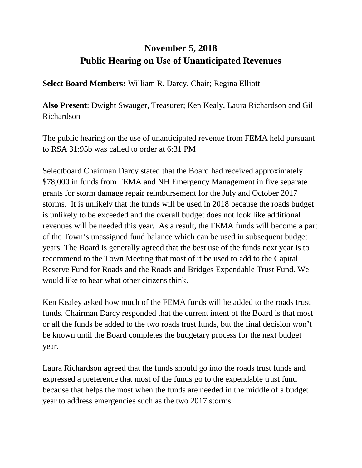## **November 5, 2018 Public Hearing on Use of Unanticipated Revenues**

**Select Board Members:** William R. Darcy, Chair; Regina Elliott

**Also Present**: Dwight Swauger, Treasurer; Ken Kealy, Laura Richardson and Gil Richardson

The public hearing on the use of unanticipated revenue from FEMA held pursuant to RSA 31:95b was called to order at 6:31 PM

Selectboard Chairman Darcy stated that the Board had received approximately \$78,000 in funds from FEMA and NH Emergency Management in five separate grants for storm damage repair reimbursement for the July and October 2017 storms. It is unlikely that the funds will be used in 2018 because the roads budget is unlikely to be exceeded and the overall budget does not look like additional revenues will be needed this year. As a result, the FEMA funds will become a part of the Town's unassigned fund balance which can be used in subsequent budget years. The Board is generally agreed that the best use of the funds next year is to recommend to the Town Meeting that most of it be used to add to the Capital Reserve Fund for Roads and the Roads and Bridges Expendable Trust Fund. We would like to hear what other citizens think.

Ken Kealey asked how much of the FEMA funds will be added to the roads trust funds. Chairman Darcy responded that the current intent of the Board is that most or all the funds be added to the two roads trust funds, but the final decision won't be known until the Board completes the budgetary process for the next budget year.

Laura Richardson agreed that the funds should go into the roads trust funds and expressed a preference that most of the funds go to the expendable trust fund because that helps the most when the funds are needed in the middle of a budget year to address emergencies such as the two 2017 storms.